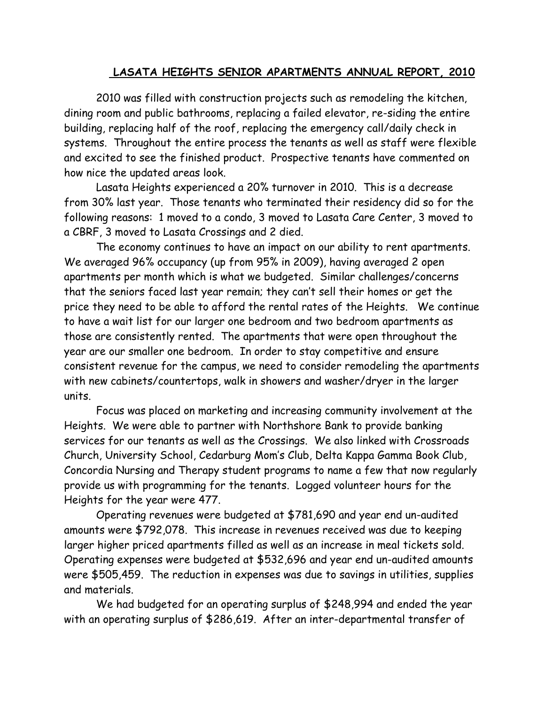## **LASATA HEIGHTS SENIOR APARTMENTS ANNUAL REPORT, 2010**

2010 was filled with construction projects such as remodeling the kitchen, dining room and public bathrooms, replacing a failed elevator, re-siding the entire building, replacing half of the roof, replacing the emergency call/daily check in systems. Throughout the entire process the tenants as well as staff were flexible and excited to see the finished product. Prospective tenants have commented on how nice the updated areas look.

Lasata Heights experienced a 20% turnover in 2010. This is a decrease from 30% last year. Those tenants who terminated their residency did so for the following reasons: 1 moved to a condo, 3 moved to Lasata Care Center, 3 moved to a CBRF, 3 moved to Lasata Crossings and 2 died.

The economy continues to have an impact on our ability to rent apartments. We averaged 96% occupancy (up from 95% in 2009), having averaged 2 open apartments per month which is what we budgeted. Similar challenges/concerns that the seniors faced last year remain; they can't sell their homes or get the price they need to be able to afford the rental rates of the Heights. We continue to have a wait list for our larger one bedroom and two bedroom apartments as those are consistently rented. The apartments that were open throughout the year are our smaller one bedroom. In order to stay competitive and ensure consistent revenue for the campus, we need to consider remodeling the apartments with new cabinets/countertops, walk in showers and washer/dryer in the larger units.

Focus was placed on marketing and increasing community involvement at the Heights. We were able to partner with Northshore Bank to provide banking services for our tenants as well as the Crossings. We also linked with Crossroads Church, University School, Cedarburg Mom's Club, Delta Kappa Gamma Book Club, Concordia Nursing and Therapy student programs to name a few that now regularly provide us with programming for the tenants. Logged volunteer hours for the Heights for the year were 477.

Operating revenues were budgeted at \$781,690 and year end un-audited amounts were \$792,078. This increase in revenues received was due to keeping larger higher priced apartments filled as well as an increase in meal tickets sold. Operating expenses were budgeted at \$532,696 and year end un-audited amounts were \$505,459. The reduction in expenses was due to savings in utilities, supplies and materials.

We had budgeted for an operating surplus of \$248,994 and ended the year with an operating surplus of \$286,619. After an inter-departmental transfer of